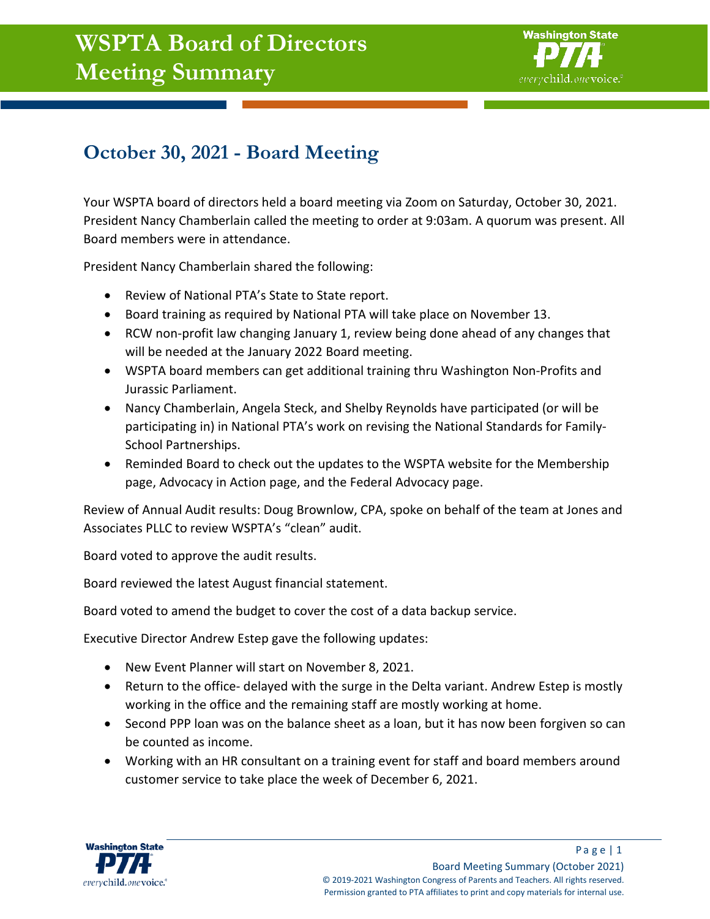## **WSPTA Board of Directors Meeting Summary**



## **October 30, 2021 - Board Meeting**

Your WSPTA board of directors held a board meeting via Zoom on Saturday, October 30, 2021. President Nancy Chamberlain called the meeting to order at 9:03am. A quorum was present. All Board members were in attendance.

President Nancy Chamberlain shared the following:

- Review of National PTA's State to State report.
- Board training as required by National PTA will take place on November 13.
- RCW non-profit law changing January 1, review being done ahead of any changes that will be needed at the January 2022 Board meeting.
- WSPTA board members can get additional training thru Washington Non-Profits and Jurassic Parliament.
- Nancy Chamberlain, Angela Steck, and Shelby Reynolds have participated (or will be participating in) in National PTA's work on revising the National Standards for Family-School Partnerships.
- Reminded Board to check out the updates to the WSPTA website for the Membership page, Advocacy in Action page, and the Federal Advocacy page.

Review of Annual Audit results: Doug Brownlow, CPA, spoke on behalf of the team at Jones and Associates PLLC to review WSPTA's "clean" audit.

Board voted to approve the audit results.

Board reviewed the latest August financial statement.

Board voted to amend the budget to cover the cost of a data backup service.

Executive Director Andrew Estep gave the following updates:

- New Event Planner will start on November 8, 2021.
- Return to the office- delayed with the surge in the Delta variant. Andrew Estep is mostly working in the office and the remaining staff are mostly working at home.
- Second PPP loan was on the balance sheet as a loan, but it has now been forgiven so can be counted as income.
- Working with an HR consultant on a training event for staff and board members around customer service to take place the week of December 6, 2021.